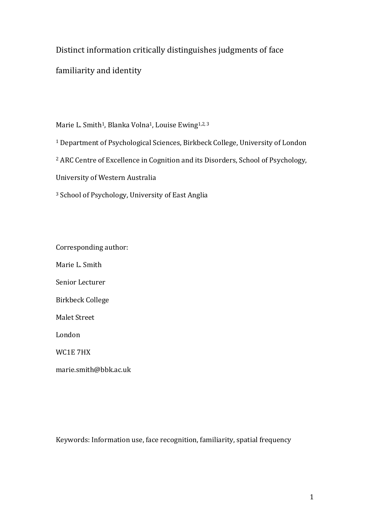## Distinct information critically distinguishes judgments of face

familiarity and identity

Marie L. Smith<sup>1</sup>, Blanka Volna<sup>1</sup>, Louise Ewing<sup>1,2,3</sup>

<sup>1</sup> Department of Psychological Sciences, Birkbeck College, University of London

<sup>2</sup> ARC Centre of Excellence in Cognition and its Disorders, School of Psychology,

University of Western Australia

<sup>3</sup> School of Psychology, University of East Anglia

Corresponding author:

Marie L. Smith

Senior Lecturer

Birkbeck College

Malet Street

London

WC1E 7HX

marie.smith@bbk.ac.uk

Keywords: Information use, face recognition, familiarity, spatial frequency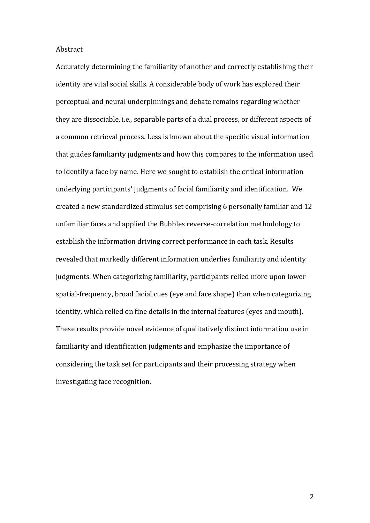#### Abstract

Accurately determining the familiarity of another and correctly establishing their identity are vital social skills. A considerable body of work has explored their perceptual and neural underpinnings and debate remains regarding whether they are dissociable, i.e., separable parts of a dual process, or different aspects of a common retrieval process. Less is known about the specific visual information that guides familiarity judgments and how this compares to the information used to identify a face by name. Here we sought to establish the critical information underlying participants' judgments of facial familiarity and identification. We created a new standardized stimulus set comprising 6 personally familiar and 12 unfamiliar faces and applied the Bubbles reverse-correlation methodology to establish the information driving correct performance in each task. Results revealed that markedly different information underlies familiarity and identity judgments. When categorizing familiarity, participants relied more upon lower spatial-frequency, broad facial cues (eye and face shape) than when categorizing identity, which relied on fine details in the internal features (eyes and mouth). These results provide novel evidence of qualitatively distinct information use in familiarity and identification judgments and emphasize the importance of considering the task set for participants and their processing strategy when investigating face recognition.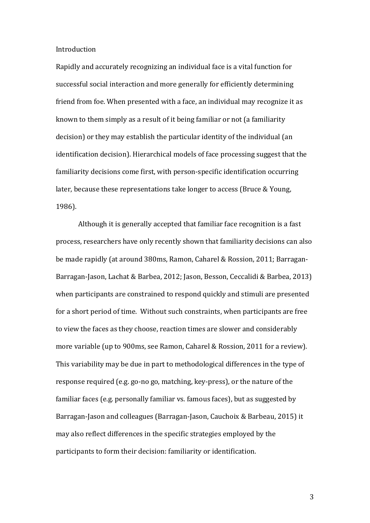Introduction

Rapidly and accurately recognizing an individual face is a vital function for successful social interaction and more generally for efficiently determining friend from foe. When presented with a face, an individual may recognize it as known to them simply as a result of it being familiar or not (a familiarity decision) or they may establish the particular identity of the individual (an identification decision). Hierarchical models of face processing suggest that the familiarity decisions come first, with person-specific identification occurring later, because these representations take longer to access (Bruce & Young, 1986).

Although it is generally accepted that familiar face recognition is a fast process, researchers have only recently shown that familiarity decisions can also be made rapidly (at around 380ms, Ramon, Caharel & Rossion, 2011; Barragan-Barragan-Jason, Lachat & Barbea, 2012; Jason, Besson, Ceccalidi & Barbea, 2013) when participants are constrained to respond quickly and stimuli are presented for a short period of time. Without such constraints, when participants are free to view the faces as they choose, reaction times are slower and considerably more variable (up to 900ms, see Ramon, Caharel & Rossion, 2011 for a review). This variability may be due in part to methodological differences in the type of response required (e.g. go-no go, matching, key-press), or the nature of the familiar faces (e.g. personally familiar vs. famous faces), but as suggested by Barragan-Jason and colleagues (Barragan-Jason, Cauchoix & Barbeau, 2015) it may also reflect differences in the specific strategies employed by the participants to form their decision: familiarity or identification.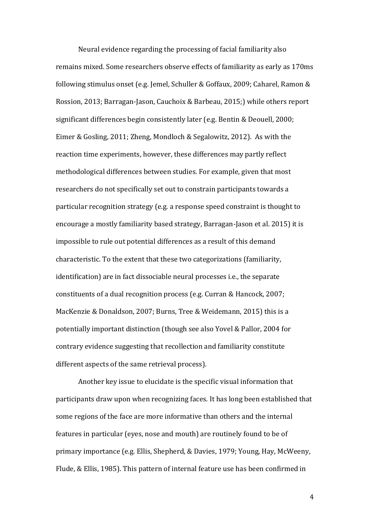Neural evidence regarding the processing of facial familiarity also remains mixed. Some researchers observe effects of familiarity as early as 170ms following stimulus onset (e.g. Jemel, Schuller & Goffaux, 2009; Caharel, Ramon & Rossion, 2013; Barragan-Jason, Cauchoix & Barbeau, 2015;) while others report significant differences begin consistently later (e.g. Bentin & Deouell, 2000; Eimer & Gosling, 2011; Zheng, Mondloch & Segalowitz, 2012). As with the reaction time experiments, however, these differences may partly reflect methodological differences between studies. For example, given that most researchers do not specifically set out to constrain participants towards a particular recognition strategy (e.g. a response speed constraint is thought to encourage a mostly familiarity based strategy, Barragan-Jason et al. 2015) it is impossible to rule out potential differences as a result of this demand characteristic. To the extent that these two categorizations (familiarity, identification) are in fact dissociable neural processes i.e., the separate constituents of a dual recognition process (e.g. Curran & Hancock, 2007; MacKenzie & Donaldson, 2007; Burns, Tree & Weidemann, 2015) this is a potentially important distinction (though see also Yovel & Pallor, 2004 for contrary evidence suggesting that recollection and familiarity constitute different aspects of the same retrieval process).

Another key issue to elucidate is the specific visual information that participants draw upon when recognizing faces. It has long been established that some regions of the face are more informative than others and the internal features in particular (eyes, nose and mouth) are routinely found to be of primary importance (e.g. Ellis, Shepherd, & Davies, 1979; Young, Hay, McWeeny, Flude, & Ellis, 1985). This pattern of internal feature use has been confirmed in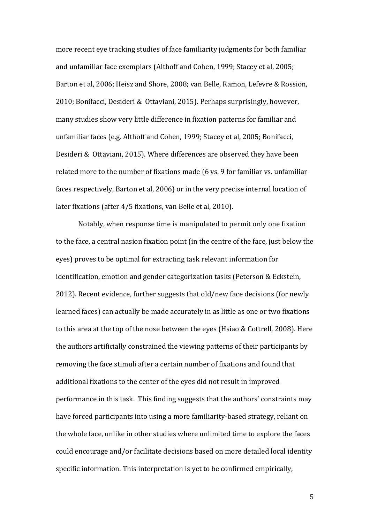more recent eye tracking studies of face familiarity judgments for both familiar and unfamiliar face exemplars (Althoff and Cohen, 1999; Stacey et al, 2005; Barton et al, 2006; Heisz and Shore, 2008; van Belle, Ramon, Lefevre & Rossion, 2010; Bonifacci, Desideri & Ottaviani, 2015). Perhaps surprisingly, however, many studies show very little difference in fixation patterns for familiar and unfamiliar faces (e.g. Althoff and Cohen, 1999; Stacey et al, 2005; Bonifacci, Desideri & Ottaviani, 2015). Where differences are observed they have been related more to the number of fixations made (6 vs. 9 for familiar vs. unfamiliar faces respectively, Barton et al, 2006) or in the very precise internal location of later fixations (after 4/5 fixations, van Belle et al, 2010).

Notably, when response time is manipulated to permit only one fixation to the face, a central nasion fixation point (in the centre of the face, just below the eyes) proves to be optimal for extracting task relevant information for identification, emotion and gender categorization tasks (Peterson & Eckstein, 2012). Recent evidence, further suggests that old/new face decisions (for newly learned faces) can actually be made accurately in as little as one or two fixations to this area at the top of the nose between the eyes (Hsiao & Cottrell, 2008). Here the authors artificially constrained the viewing patterns of their participants by removing the face stimuli after a certain number of fixations and found that additional fixations to the center of the eyes did not result in improved performance in this task. This finding suggests that the authors' constraints may have forced participants into using a more familiarity-based strategy, reliant on the whole face, unlike in other studies where unlimited time to explore the faces could encourage and/or facilitate decisions based on more detailed local identity specific information. This interpretation is yet to be confirmed empirically,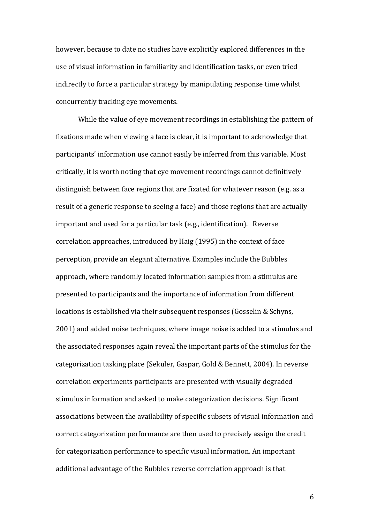however, because to date no studies have explicitly explored differences in the use of visual information in familiarity and identification tasks, or even tried indirectly to force a particular strategy by manipulating response time whilst concurrently tracking eye movements.

While the value of eye movement recordings in establishing the pattern of fixations made when viewing a face is clear, it is important to acknowledge that participants' information use cannot easily be inferred from this variable. Most critically, it is worth noting that eye movement recordings cannot definitively distinguish between face regions that are fixated for whatever reason (e.g. as a result of a generic response to seeing a face) and those regions that are actually important and used for a particular task (e.g., identification). Reverse correlation approaches, introduced by Haig (1995) in the context of face perception, provide an elegant alternative. Examples include the Bubbles approach, where randomly located information samples from a stimulus are presented to participants and the importance of information from different locations is established via their subsequent responses (Gosselin & Schyns, 2001) and added noise techniques, where image noise is added to a stimulus and the associated responses again reveal the important parts of the stimulus for the categorization tasking place (Sekuler, Gaspar, Gold & Bennett, 2004). In reverse correlation experiments participants are presented with visually degraded stimulus information and asked to make categorization decisions. Significant associations between the availability of specific subsets of visual information and correct categorization performance are then used to precisely assign the credit for categorization performance to specific visual information. An important additional advantage of the Bubbles reverse correlation approach is that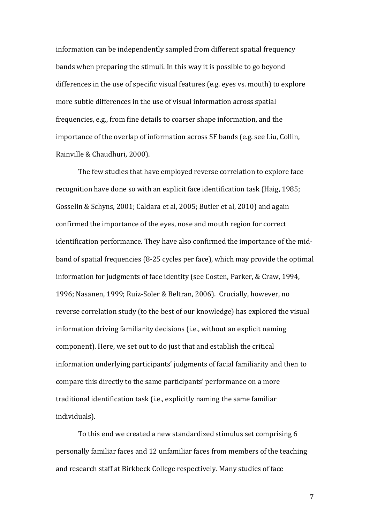information can be independently sampled from different spatial frequency bands when preparing the stimuli. In this way it is possible to go beyond differences in the use of specific visual features (e.g. eyes vs. mouth) to explore more subtle differences in the use of visual information across spatial frequencies, e.g., from fine details to coarser shape information, and the importance of the overlap of information across SF bands (e.g. see Liu, Collin, Rainville & Chaudhuri, 2000).

The few studies that have employed reverse correlation to explore face recognition have done so with an explicit face identification task (Haig, 1985; Gosselin & Schyns, 2001; Caldara et al, 2005; Butler et al, 2010) and again confirmed the importance of the eyes, nose and mouth region for correct identification performance. They have also confirmed the importance of the midband of spatial frequencies (8-25 cycles per face), which may provide the optimal information for judgments of face identity (see Costen, Parker, & Craw, 1994, 1996; Nasanen, 1999; Ruiz-Soler & Beltran, 2006). Crucially, however, no reverse correlation study (to the best of our knowledge) has explored the visual information driving familiarity decisions (i.e., without an explicit naming component). Here, we set out to do just that and establish the critical information underlying participants' judgments of facial familiarity and then to compare this directly to the same participants' performance on a more traditional identification task (i.e., explicitly naming the same familiar individuals).

To this end we created a new standardized stimulus set comprising 6 personally familiar faces and 12 unfamiliar faces from members of the teaching and research staff at Birkbeck College respectively. Many studies of face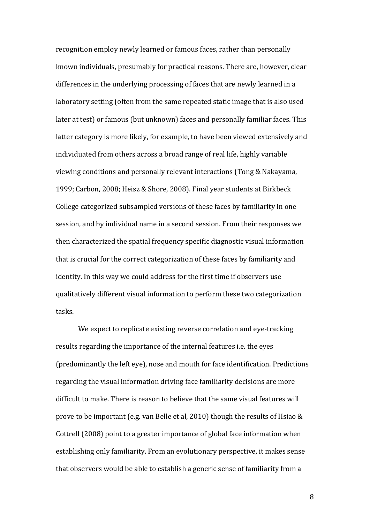recognition employ newly learned or famous faces, rather than personally known individuals, presumably for practical reasons. There are, however, clear differences in the underlying processing of faces that are newly learned in a laboratory setting (often from the same repeated static image that is also used later at test) or famous (but unknown) faces and personally familiar faces. This latter category is more likely, for example, to have been viewed extensively and individuated from others across a broad range of real life, highly variable viewing conditions and personally relevant interactions (Tong & Nakayama, 1999; Carbon, 2008; Heisz & Shore, 2008). Final year students at Birkbeck College categorized subsampled versions of these faces by familiarity in one session, and by individual name in a second session. From their responses we then characterized the spatial frequency specific diagnostic visual information that is crucial for the correct categorization of these faces by familiarity and identity. In this way we could address for the first time if observers use qualitatively different visual information to perform these two categorization tasks.

We expect to replicate existing reverse correlation and eye-tracking results regarding the importance of the internal features i.e. the eyes (predominantly the left eye), nose and mouth for face identification. Predictions regarding the visual information driving face familiarity decisions are more difficult to make. There is reason to believe that the same visual features will prove to be important (e.g. van Belle et al, 2010) though the results of Hsiao & Cottrell (2008) point to a greater importance of global face information when establishing only familiarity. From an evolutionary perspective, it makes sense that observers would be able to establish a generic sense of familiarity from a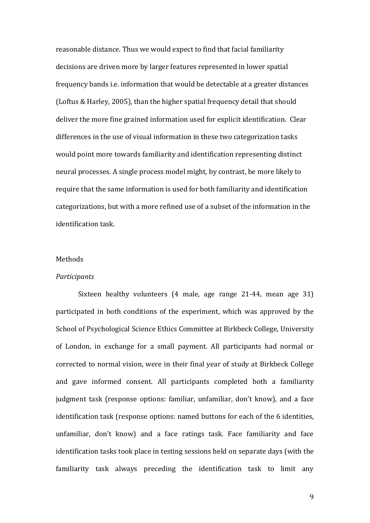reasonable distance. Thus we would expect to find that facial familiarity decisions are driven more by larger features represented in lower spatial frequency bands i.e. information that would be detectable at a greater distances (Loftus & Harley, 2005), than the higher spatial frequency detail that should deliver the more fine grained information used for explicit identification. Clear differences in the use of visual information in these two categorization tasks would point more towards familiarity and identification representing distinct neural processes. A single process model might, by contrast, be more likely to require that the same information is used for both familiarity and identification categorizations, but with a more refined use of a subset of the information in the identification task.

## Methods

#### *Participants*

Sixteen healthy volunteers (4 male, age range 21-44, mean age 31) participated in both conditions of the experiment, which was approved by the School of Psychological Science Ethics Committee at Birkbeck College, University of London, in exchange for a small payment. All participants had normal or corrected to normal vision, were in their final year of study at Birkbeck College and gave informed consent. All participants completed both a familiarity judgment task (response options: familiar, unfamiliar, don't know), and a face identification task (response options: named buttons for each of the 6 identities, unfamiliar, don't know) and a face ratings task. Face familiarity and face identification tasks took place in testing sessions held on separate days (with the familiarity task always preceding the identification task to limit any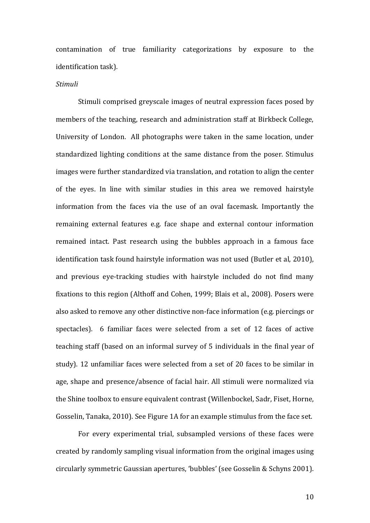contamination of true familiarity categorizations by exposure to the identification task).

#### *Stimuli*

Stimuli comprised greyscale images of neutral expression faces posed by members of the teaching, research and administration staff at Birkbeck College, University of London. All photographs were taken in the same location, under standardized lighting conditions at the same distance from the poser. Stimulus images were further standardized via translation, and rotation to align the center of the eyes. In line with similar studies in this area we removed hairstyle information from the faces via the use of an oval facemask. Importantly the remaining external features e.g. face shape and external contour information remained intact. Past research using the bubbles approach in a famous face identification task found hairstyle information was not used (Butler et al, 2010), and previous eye-tracking studies with hairstyle included do not find many fixations to this region (Althoff and Cohen, 1999; Blais et al., 2008). Posers were also asked to remove any other distinctive non-face information (e.g. piercings or spectacles). 6 familiar faces were selected from a set of 12 faces of active teaching staff (based on an informal survey of 5 individuals in the final year of study). 12 unfamiliar faces were selected from a set of 20 faces to be similar in age, shape and presence/absence of facial hair. All stimuli were normalized via the Shine toolbox to ensure equivalent contrast (Willenbockel, Sadr, Fiset, Horne, Gosselin, Tanaka, 2010). See Figure 1A for an example stimulus from the face set.

For every experimental trial, subsampled versions of these faces were created by randomly sampling visual information from the original images using circularly symmetric Gaussian apertures, 'bubbles' (see Gosselin & Schyns 2001).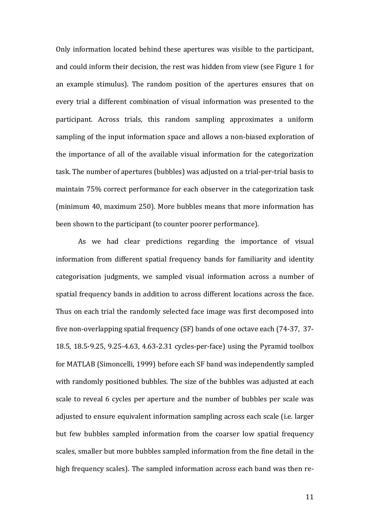Only information located behind these apertures was visible to the participant, and could inform their decision, the rest was hidden from view (see Figure 1 for an example stimulus). The random position of the apertures ensures that on every trial a different combination of visual information was presented to the participant. Across trials, this random sampling approximates a uniform sampling of the input information space and allows a non-biased exploration of the importance of all of the available visual information for the categorization task. The number of apertures (bubbles) was adjusted on a trial-per-trial basis to maintain 75% correct performance for each observer in the categorization task (minimum 40, maximum 250). More bubbles means that more information has been shown to the participant (to counter poorer performance).

As we had clear predictions regarding the importance of visual information from different spatial frequency bands for familiarity and identity categorisation judgments, we sampled visual information across a number of spatial frequency bands in addition to across different locations across the face. Thus on each trial the randomly selected face image was first decomposed into five non-overlapping spatial frequency (SF) bands of one octave each (74-37, 37- 18.5, 18.5-9.25, 9.25-4.63, 4.63-2.31 cycles-per-face) using the Pyramid toolbox for MATLAB (Simoncelli, 1999) before each SF band was independently sampled with randomly positioned bubbles. The size of the bubbles was adjusted at each scale to reveal 6 cycles per aperture and the number of bubbles per scale was adjusted to ensure equivalent information sampling across each scale (i.e. larger but few bubbles sampled information from the coarser low spatial frequency scales, smaller but more bubbles sampled information from the fine detail in the high frequency scales). The sampled information across each band was then re-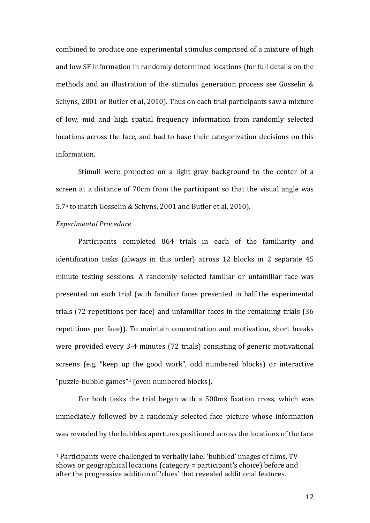combined to produce one experimental stimulus comprised of a mixture of high and low SF information in randomly determined locations (for full details on the methods and an illustration of the stimulus generation process see Gosselin & Schyns, 2001 or Butler et al, 2010). Thus on each trial participants saw a mixture of low, mid and high spatial frequency information from randomly selected locations across the face, and had to base their categorization decisions on this information.

Stimuli were projected on a light gray background to the center of a screen at a distance of 70cm from the participant so that the visual angle was 5.7<sup>o</sup> to match Gosselin & Schyns, 2001 and Butler et al, 2010).

#### *Experimental Procedure*

 $\overline{a}$ 

Participants completed 864 trials in each of the familiarity and identification tasks (always in this order) across 12 blocks in 2 separate 45 minute testing sessions. A randomly selected familiar or unfamiliar face was presented on each trial (with familiar faces presented in half the experimental trials (72 repetitions per face) and unfamiliar faces in the remaining trials (36 repetitions per face)). To maintain concentration and motivation, short breaks were provided every 3-4 minutes (72 trials) consisting of generic motivational screens (e.g. "keep up the good work", odd numbered blocks) or interactive "puzzle-bubble games"<sup>1</sup> (even numbered blocks).

For both tasks the trial began with a 500ms fixation cross, which was immediately followed by a randomly selected face picture whose information was revealed by the bubbles apertures positioned across the locations of the face

<sup>1</sup> Participants were challenged to verbally label 'bubbled' images of films, TV shows or geographical locations (category = participant's choice) before and after the progressive addition of 'clues' that revealed additional features.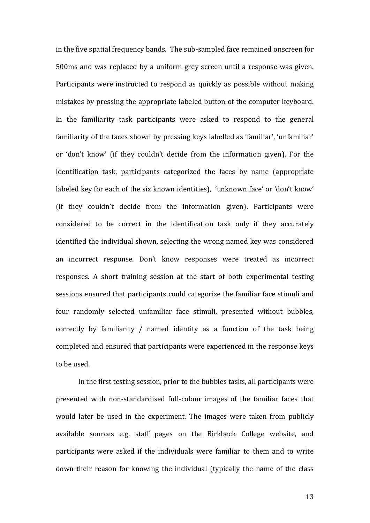in the five spatial frequency bands. The sub-sampled face remained onscreen for 500ms and was replaced by a uniform grey screen until a response was given. Participants were instructed to respond as quickly as possible without making mistakes by pressing the appropriate labeled button of the computer keyboard. In the familiarity task participants were asked to respond to the general familiarity of the faces shown by pressing keys labelled as 'familiar', 'unfamiliar' or 'don't know' (if they couldn't decide from the information given). For the identification task, participants categorized the faces by name (appropriate labeled key for each of the six known identities), 'unknown face' or 'don't know' (if they couldn't decide from the information given). Participants were considered to be correct in the identification task only if they accurately identified the individual shown, selecting the wrong named key was considered an incorrect response. Don't know responses were treated as incorrect responses. A short training session at the start of both experimental testing sessions ensured that participants could categorize the familiar face stimuli and four randomly selected unfamiliar face stimuli, presented without bubbles, correctly by familiarity / named identity as a function of the task being completed and ensured that participants were experienced in the response keys to be used.

In the first testing session, prior to the bubbles tasks, all participants were presented with non-standardised full-colour images of the familiar faces that would later be used in the experiment. The images were taken from publicly available sources e.g. staff pages on the Birkbeck College website, and participants were asked if the individuals were familiar to them and to write down their reason for knowing the individual (typically the name of the class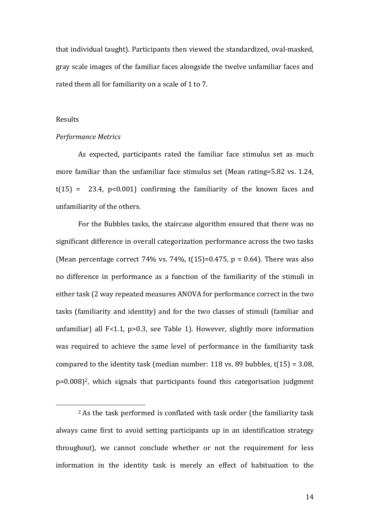that individual taught). Participants then viewed the standardized, oval-masked, gray scale images of the familiar faces alongside the twelve unfamiliar faces and rated them all for familiarity on a scale of 1 to 7.

## Results

 $\overline{a}$ 

#### *Performance Metrics*

As expected, participants rated the familiar face stimulus set as much more familiar than the unfamiliar face stimulus set (Mean rating=5.82 vs. 1.24,  $t(15) = 23.4$ ,  $p < 0.001$ ) confirming the familiarity of the known faces and unfamiliarity of the others.

For the Bubbles tasks, the staircase algorithm ensured that there was no significant difference in overall categorization performance across the two tasks (Mean percentage correct 74% vs. 74%, t(15)=0.475,  $p = 0.64$ ). There was also no difference in performance as a function of the familiarity of the stimuli in either task (2 way repeated measures ANOVA for performance correct in the two tasks (familiarity and identity) and for the two classes of stimuli (familiar and unfamiliar) all F<1.1, p>0.3, see Table 1). However, slightly more information was required to achieve the same level of performance in the familiarity task compared to the identity task (median number: 118 vs. 89 bubbles,  $t(15) = 3.08$ , p=0.008)2, which signals that participants found this categorisation judgment

<sup>2</sup> As the task performed is conflated with task order (the familiarity task always came first to avoid setting participants up in an identification strategy throughout), we cannot conclude whether or not the requirement for less information in the identity task is merely an effect of habituation to the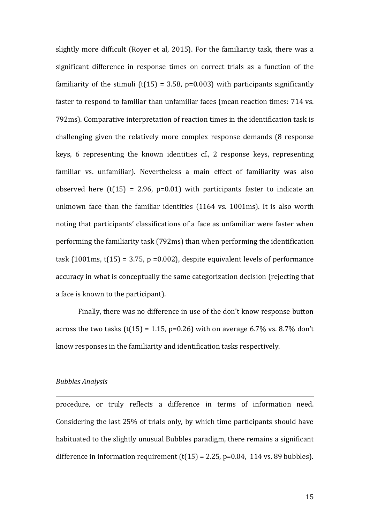slightly more difficult (Royer et al, 2015). For the familiarity task, there was a significant difference in response times on correct trials as a function of the familiarity of the stimuli (t(15) = 3.58, p=0.003) with participants significantly faster to respond to familiar than unfamiliar faces (mean reaction times: 714 vs. 792ms). Comparative interpretation of reaction times in the identification task is challenging given the relatively more complex response demands (8 response keys, 6 representing the known identities cf., 2 response keys, representing familiar vs. unfamiliar). Nevertheless a main effect of familiarity was also observed here  $(t(15) = 2.96, p=0.01)$  with participants faster to indicate an unknown face than the familiar identities (1164 vs. 1001ms). It is also worth noting that participants' classifications of a face as unfamiliar were faster when performing the familiarity task (792ms) than when performing the identification task (1001ms,  $t(15) = 3.75$ , p =0.002), despite equivalent levels of performance accuracy in what is conceptually the same categorization decision (rejecting that a face is known to the participant).

Finally, there was no difference in use of the don't know response button across the two tasks (t(15) = 1.15, p=0.26) with on average 6.7% vs. 8.7% don't know responses in the familiarity and identification tasks respectively.

#### *Bubbles Analysis*

<u>.</u>

procedure, or truly reflects a difference in terms of information need. Considering the last 25% of trials only, by which time participants should have habituated to the slightly unusual Bubbles paradigm, there remains a significant difference in information requirement  $(t(15) = 2.25, p=0.04, 114$  vs. 89 bubbles).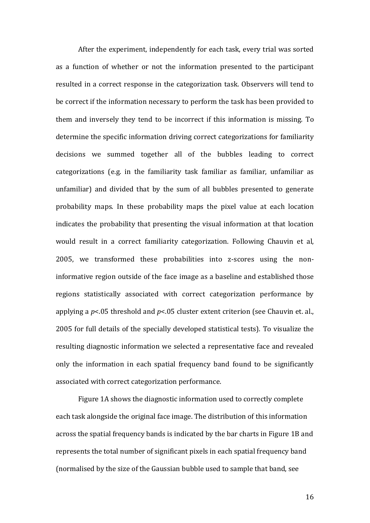After the experiment, independently for each task, every trial was sorted as a function of whether or not the information presented to the participant resulted in a correct response in the categorization task. Observers will tend to be correct if the information necessary to perform the task has been provided to them and inversely they tend to be incorrect if this information is missing. To determine the specific information driving correct categorizations for familiarity decisions we summed together all of the bubbles leading to correct categorizations (e.g. in the familiarity task familiar as familiar, unfamiliar as unfamiliar) and divided that by the sum of all bubbles presented to generate probability maps. In these probability maps the pixel value at each location indicates the probability that presenting the visual information at that location would result in a correct familiarity categorization. Following Chauvin et al, 2005, we transformed these probabilities into z-scores using the noninformative region outside of the face image as a baseline and established those regions statistically associated with correct categorization performance by applying a *p*<.05 threshold and *p*<.05 cluster extent criterion (see Chauvin et. al., 2005 for full details of the specially developed statistical tests). To visualize the resulting diagnostic information we selected a representative face and revealed only the information in each spatial frequency band found to be significantly associated with correct categorization performance.

Figure 1A shows the diagnostic information used to correctly complete each task alongside the original face image. The distribution of this information across the spatial frequency bands is indicated by the bar charts in Figure 1B and represents the total number of significant pixels in each spatial frequency band (normalised by the size of the Gaussian bubble used to sample that band, see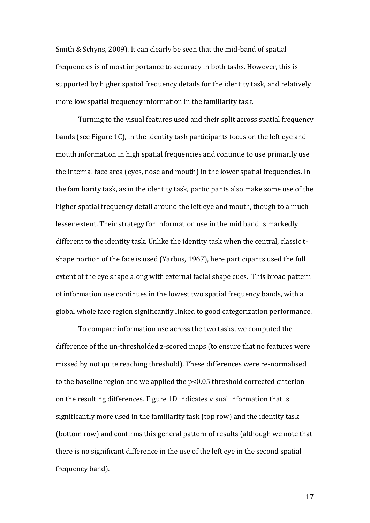Smith & Schyns, 2009). It can clearly be seen that the mid-band of spatial frequencies is of most importance to accuracy in both tasks. However, this is supported by higher spatial frequency details for the identity task, and relatively more low spatial frequency information in the familiarity task.

Turning to the visual features used and their split across spatial frequency bands (see Figure 1C), in the identity task participants focus on the left eye and mouth information in high spatial frequencies and continue to use primarily use the internal face area (eyes, nose and mouth) in the lower spatial frequencies. In the familiarity task, as in the identity task, participants also make some use of the higher spatial frequency detail around the left eye and mouth, though to a much lesser extent. Their strategy for information use in the mid band is markedly different to the identity task. Unlike the identity task when the central, classic tshape portion of the face is used (Yarbus, 1967), here participants used the full extent of the eye shape along with external facial shape cues. This broad pattern of information use continues in the lowest two spatial frequency bands, with a global whole face region significantly linked to good categorization performance.

To compare information use across the two tasks, we computed the difference of the un-thresholded z-scored maps (to ensure that no features were missed by not quite reaching threshold). These differences were re-normalised to the baseline region and we applied the p<0.05 threshold corrected criterion on the resulting differences. Figure 1D indicates visual information that is significantly more used in the familiarity task (top row) and the identity task (bottom row) and confirms this general pattern of results (although we note that there is no significant difference in the use of the left eye in the second spatial frequency band).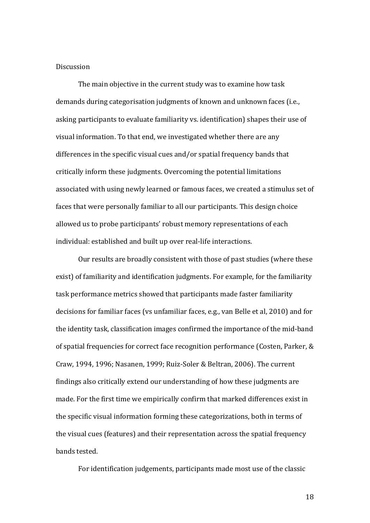## Discussion

The main objective in the current study was to examine how task demands during categorisation judgments of known and unknown faces (i.e., asking participants to evaluate familiarity vs. identification) shapes their use of visual information. To that end, we investigated whether there are any differences in the specific visual cues and/or spatial frequency bands that critically inform these judgments. Overcoming the potential limitations associated with using newly learned or famous faces, we created a stimulus set of faces that were personally familiar to all our participants. This design choice allowed us to probe participants' robust memory representations of each individual: established and built up over real-life interactions.

Our results are broadly consistent with those of past studies (where these exist) of familiarity and identification judgments. For example, for the familiarity task performance metrics showed that participants made faster familiarity decisions for familiar faces (vs unfamiliar faces, e.g., van Belle et al, 2010) and for the identity task, classification images confirmed the importance of the mid-band of spatial frequencies for correct face recognition performance (Costen, Parker, & Craw, 1994, 1996; Nasanen, 1999; Ruiz-Soler & Beltran, 2006). The current findings also critically extend our understanding of how these judgments are made. For the first time we empirically confirm that marked differences exist in the specific visual information forming these categorizations, both in terms of the visual cues (features) and their representation across the spatial frequency bands tested.

For identification judgements, participants made most use of the classic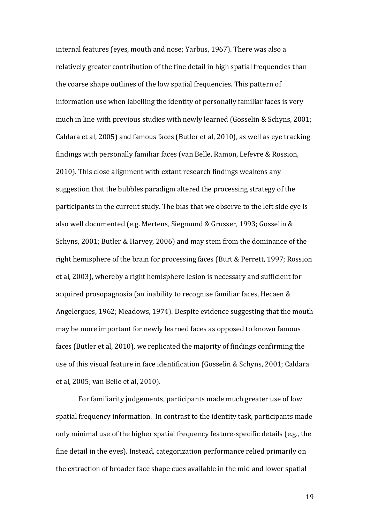internal features (eyes, mouth and nose; Yarbus, 1967). There was also a relatively greater contribution of the fine detail in high spatial frequencies than the coarse shape outlines of the low spatial frequencies. This pattern of information use when labelling the identity of personally familiar faces is very much in line with previous studies with newly learned (Gosselin & Schyns, 2001; Caldara et al, 2005) and famous faces (Butler et al, 2010), as well as eye tracking findings with personally familiar faces (van Belle, Ramon, Lefevre & Rossion, 2010). This close alignment with extant research findings weakens any suggestion that the bubbles paradigm altered the processing strategy of the participants in the current study. The bias that we observe to the left side eye is also well documented (e.g. Mertens, Siegmund & Grusser, 1993; Gosselin & Schyns, 2001; Butler & Harvey, 2006) and may stem from the dominance of the right hemisphere of the brain for processing faces (Burt & Perrett, 1997; Rossion et al, 2003), whereby a right hemisphere lesion is necessary and sufficient for acquired prosopagnosia (an inability to recognise familiar faces, Hecaen & Angelergues, 1962; Meadows, 1974). Despite evidence suggesting that the mouth may be more important for newly learned faces as opposed to known famous faces (Butler et al, 2010), we replicated the majority of findings confirming the use of this visual feature in face identification (Gosselin & Schyns, 2001; Caldara et al, 2005; van Belle et al, 2010).

For familiarity judgements, participants made much greater use of low spatial frequency information. In contrast to the identity task, participants made only minimal use of the higher spatial frequency feature-specific details (e.g., the fine detail in the eyes). Instead, categorization performance relied primarily on the extraction of broader face shape cues available in the mid and lower spatial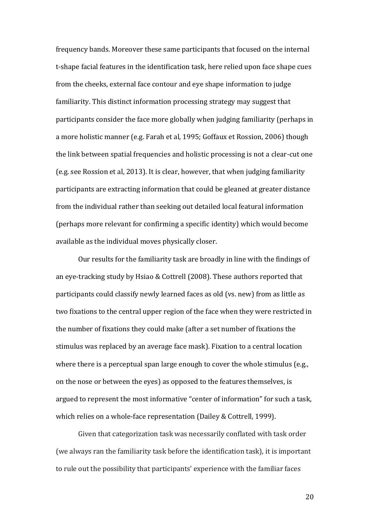frequency bands. Moreover these same participants that focused on the internal t-shape facial features in the identification task, here relied upon face shape cues from the cheeks, external face contour and eye shape information to judge familiarity. This distinct information processing strategy may suggest that participants consider the face more globally when judging familiarity (perhaps in a more holistic manner (e.g. Farah et al, 1995; Goffaux et Rossion, 2006) though the link between spatial frequencies and holistic processing is not a clear-cut one (e.g. see Rossion et al, 2013). It is clear, however, that when judging familiarity participants are extracting information that could be gleaned at greater distance from the individual rather than seeking out detailed local featural information (perhaps more relevant for confirming a specific identity) which would become available as the individual moves physically closer.

Our results for the familiarity task are broadly in line with the findings of an eye-tracking study by Hsiao & Cottrell (2008). These authors reported that participants could classify newly learned faces as old (vs. new) from as little as two fixations to the central upper region of the face when they were restricted in the number of fixations they could make (after a set number of fixations the stimulus was replaced by an average face mask). Fixation to a central location where there is a perceptual span large enough to cover the whole stimulus (e.g., on the nose or between the eyes) as opposed to the features themselves, is argued to represent the most informative "center of information" for such a task, which relies on a whole-face representation (Dailey & Cottrell, 1999).

Given that categorization task was necessarily conflated with task order (we always ran the familiarity task before the identification task), it is important to rule out the possibility that participants' experience with the familiar faces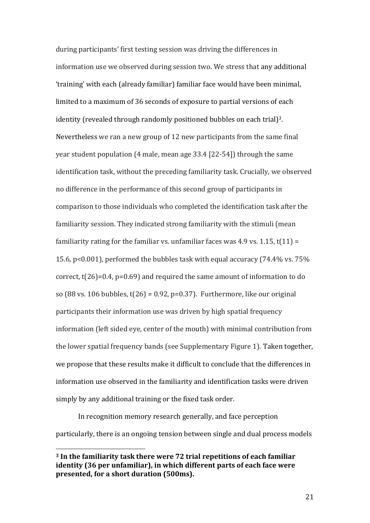during participants' first testing session was driving the differences in information use we observed during session two. We stress that any additional 'training' with each (already familiar) familiar face would have been minimal, limited to a maximum of 36 seconds of exposure to partial versions of each identity (revealed through randomly positioned bubbles on each trial) 3. Nevertheless we ran a new group of 12 new participants from the same final year student population (4 male, mean age 33.4 [22-54]) through the same identification task, without the preceding familiarity task. Crucially, we observed no difference in the performance of this second group of participants in comparison to those individuals who completed the identification task after the familiarity session. They indicated strong familiarity with the stimuli (mean familiarity rating for the familiar vs. unfamiliar faces was 4.9 vs. 1.15,  $t(11) =$ 15.6, p<0.001), performed the bubbles task with equal accuracy (74.4% vs. 75% correct, t(26)=0.4, p=0.69) and required the same amount of information to do so (88 vs. 106 bubbles,  $t(26) = 0.92$ , p=0.37). Furthermore, like our original participants their information use was driven by high spatial frequency information (left sided eye, center of the mouth) with minimal contribution from the lower spatial frequency bands (see Supplementary Figure 1). Taken together, we propose that these results make it difficult to conclude that the differences in information use observed in the familiarity and identification tasks were driven simply by any additional training or the fixed task order.

In recognition memory research generally, and face perception particularly, there is an ongoing tension between single and dual process models

 $\overline{\phantom{a}}$ 

**<sup>3</sup> In the familiarity task there were 72 trial repetitions of each familiar identity (36 per unfamiliar), in which different parts of each face were presented, for a short duration (500ms).**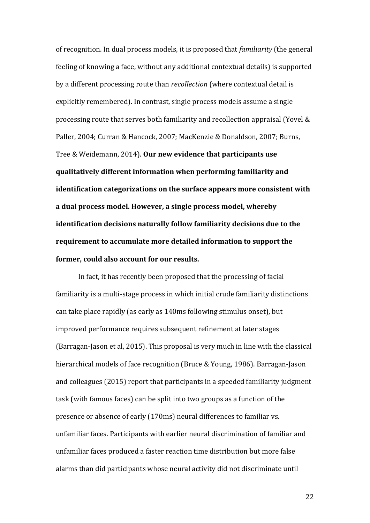of recognition. In dual process models, it is proposed that *familiarity* (the general feeling of knowing a face, without any additional contextual details) is supported by a different processing route than *recollection* (where contextual detail is explicitly remembered). In contrast, single process models assume a single processing route that serves both familiarity and recollection appraisal (Yovel & Paller, 2004; Curran & Hancock, 2007; MacKenzie & Donaldson, 2007; Burns, Tree & Weidemann, 2014). **Our new evidence that participants use qualitatively different information when performing familiarity and identification categorizations on the surface appears more consistent with a dual process model. However, a single process model, whereby identification decisions naturally follow familiarity decisions due to the requirement to accumulate more detailed information to support the former, could also account for our results.** 

In fact, it has recently been proposed that the processing of facial familiarity is a multi-stage process in which initial crude familiarity distinctions can take place rapidly (as early as 140ms following stimulus onset), but improved performance requires subsequent refinement at later stages (Barragan-Jason et al, 2015). This proposal is very much in line with the classical hierarchical models of face recognition (Bruce & Young, 1986). Barragan-Jason and colleagues (2015) report that participants in a speeded familiarity judgment task (with famous faces) can be split into two groups as a function of the presence or absence of early (170ms) neural differences to familiar vs. unfamiliar faces. Participants with earlier neural discrimination of familiar and unfamiliar faces produced a faster reaction time distribution but more false alarms than did participants whose neural activity did not discriminate until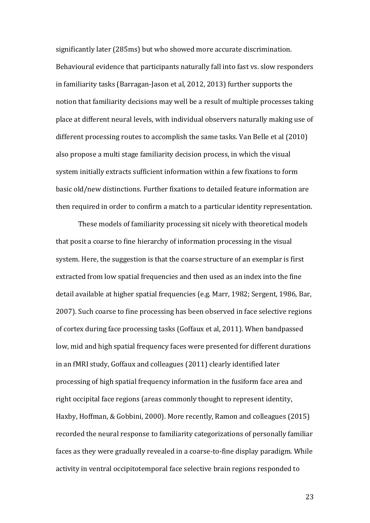significantly later (285ms) but who showed more accurate discrimination. Behavioural evidence that participants naturally fall into fast vs. slow responders in familiarity tasks (Barragan-Jason et al, 2012, 2013) further supports the notion that familiarity decisions may well be a result of multiple processes taking place at different neural levels, with individual observers naturally making use of different processing routes to accomplish the same tasks. Van Belle et al (2010) also propose a multi stage familiarity decision process, in which the visual system initially extracts sufficient information within a few fixations to form basic old/new distinctions. Further fixations to detailed feature information are then required in order to confirm a match to a particular identity representation.

These models of familiarity processing sit nicely with theoretical models that posit a coarse to fine hierarchy of information processing in the visual system. Here, the suggestion is that the coarse structure of an exemplar is first extracted from low spatial frequencies and then used as an index into the fine detail available at higher spatial frequencies (e.g. Marr, 1982; Sergent, 1986, Bar, 2007). Such coarse to fine processing has been observed in face selective regions of cortex during face processing tasks (Goffaux et al, 2011). When bandpassed low, mid and high spatial frequency faces were presented for different durations in an fMRI study, Goffaux and colleagues (2011) clearly identified later processing of high spatial frequency information in the fusiform face area and right occipital face regions (areas commonly thought to represent identity, Haxby, Hoffman, & Gobbini, 2000). More recently, Ramon and colleagues (2015) recorded the neural response to familiarity categorizations of personally familiar faces as they were gradually revealed in a coarse-to-fine display paradigm. While activity in ventral occipitotemporal face selective brain regions responded to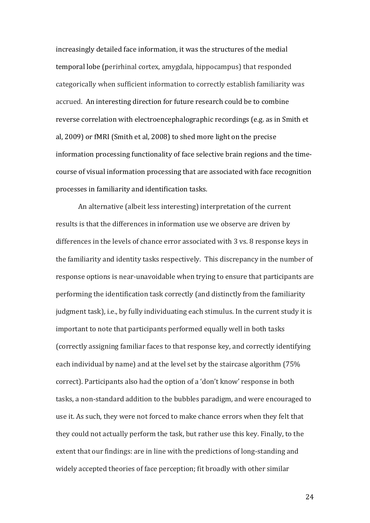increasingly detailed face information, it was the structures of the medial temporal lobe (perirhinal cortex, amygdala, hippocampus) that responded categorically when sufficient information to correctly establish familiarity was accrued. An interesting direction for future research could be to combine reverse correlation with electroencephalographic recordings (e.g. as in Smith et al, 2009) or fMRI (Smith et al, 2008) to shed more light on the precise information processing functionality of face selective brain regions and the timecourse of visual information processing that are associated with face recognition processes in familiarity and identification tasks.

An alternative (albeit less interesting) interpretation of the current results is that the differences in information use we observe are driven by differences in the levels of chance error associated with 3 vs. 8 response keys in the familiarity and identity tasks respectively. This discrepancy in the number of response options is near-unavoidable when trying to ensure that participants are performing the identification task correctly (and distinctly from the familiarity judgment task), i.e., by fully individuating each stimulus. In the current study it is important to note that participants performed equally well in both tasks (correctly assigning familiar faces to that response key, and correctly identifying each individual by name) and at the level set by the staircase algorithm (75% correct). Participants also had the option of a 'don't know' response in both tasks, a non-standard addition to the bubbles paradigm, and were encouraged to use it. As such, they were not forced to make chance errors when they felt that they could not actually perform the task, but rather use this key. Finally, to the extent that our findings: are in line with the predictions of long-standing and widely accepted theories of face perception; fit broadly with other similar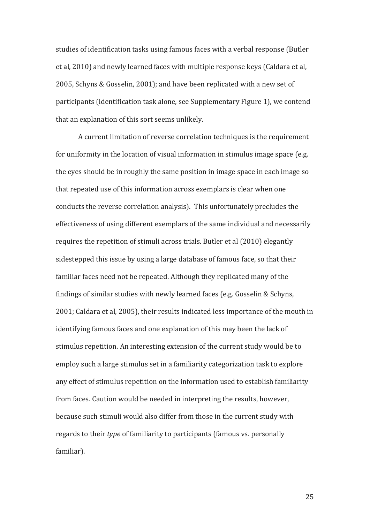studies of identification tasks using famous faces with a verbal response (Butler et al, 2010) and newly learned faces with multiple response keys (Caldara et al, 2005, Schyns & Gosselin, 2001); and have been replicated with a new set of participants (identification task alone, see Supplementary Figure 1), we contend that an explanation of this sort seems unlikely.

A current limitation of reverse correlation techniques is the requirement for uniformity in the location of visual information in stimulus image space (e.g. the eyes should be in roughly the same position in image space in each image so that repeated use of this information across exemplars is clear when one conducts the reverse correlation analysis). This unfortunately precludes the effectiveness of using different exemplars of the same individual and necessarily requires the repetition of stimuli across trials. Butler et al (2010) elegantly sidestepped this issue by using a large database of famous face, so that their familiar faces need not be repeated. Although they replicated many of the findings of similar studies with newly learned faces (e.g. Gosselin & Schyns, 2001; Caldara et al, 2005), their results indicated less importance of the mouth in identifying famous faces and one explanation of this may been the lack of stimulus repetition. An interesting extension of the current study would be to employ such a large stimulus set in a familiarity categorization task to explore any effect of stimulus repetition on the information used to establish familiarity from faces. Caution would be needed in interpreting the results, however, because such stimuli would also differ from those in the current study with regards to their *type* of familiarity to participants (famous vs. personally familiar).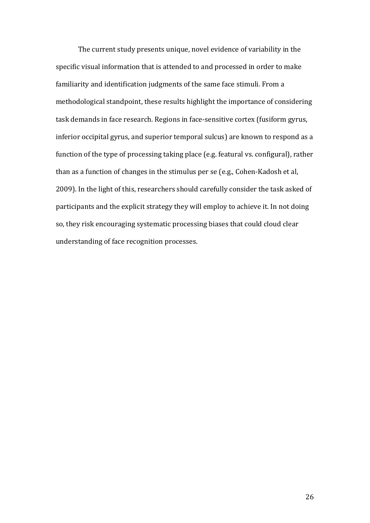The current study presents unique, novel evidence of variability in the specific visual information that is attended to and processed in order to make familiarity and identification judgments of the same face stimuli. From a methodological standpoint, these results highlight the importance of considering task demands in face research. Regions in face-sensitive cortex (fusiform gyrus, inferior occipital gyrus, and superior temporal sulcus) are known to respond as a function of the type of processing taking place (e.g. featural vs. configural), rather than as a function of changes in the stimulus per se (e.g., Cohen-Kadosh et al, 2009). In the light of this, researchers should carefully consider the task asked of participants and the explicit strategy they will employ to achieve it. In not doing so, they risk encouraging systematic processing biases that could cloud clear understanding of face recognition processes.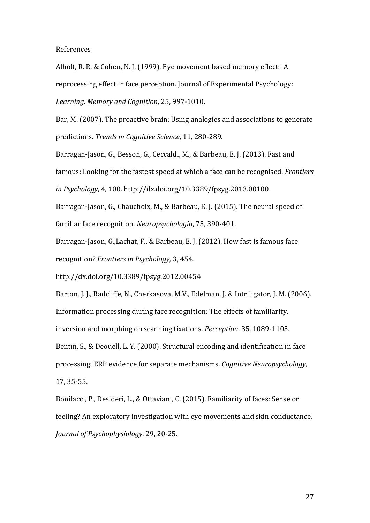References

Alhoff, R. R. & Cohen, N. J. (1999). Eye movement based memory effect: A reprocessing effect in face perception. Journal of Experimental Psychology: *Learning, Memory and Cognition*, 25, 997-1010.

Bar, M. (2007). The proactive brain: Using analogies and associations to generate predictions*. Trends in Cognitive Science*, 11, 280-289.

Barragan-Jason, G., Besson, G., Ceccaldi, M., & Barbeau, E. J. (2013). Fast and famous: Looking for the fastest speed at which a face can be recognised. *Frontiers in Psychology*, 4, 100. <http://dx.doi.org/10.3389/fpsyg.2013.00100> Barragan-Jason, G., Chauchoix, M., & Barbeau, E. J. (2015). The neural speed of

familiar face recognition. *Neuropsychologia*, 75, 390-401.

Barragan-Jason, G.,Lachat, F., & Barbeau, E. J. (2012). How fast is famous face recognition? *Frontiers in Psychology,* 3, 454.

<http://dx.doi.org/10.3389/fpsyg.2012.00454>

Barton, J. J., Radcliffe, N., Cherkasova, M.V., Edelman, J. & Intriligator, J. M. (2006). Information processing during face recognition: The effects of familiarity, inversion and morphing on scanning fixations. *Perception*. 35, 1089-1105. Bentin, S., & Deouell, L. Y. (2000). Structural encoding and identification in face processing: ERP evidence for separate mechanisms. *Cognitive Neuropsychology*, 17, 35-55.

Bonifacci, P., Desideri, L., & Ottaviani, C. (2015). Familiarity of faces: Sense or feeling? An exploratory investigation with eye movements and skin conductance. *Journal of Psychophysiology*, 29, 20-25.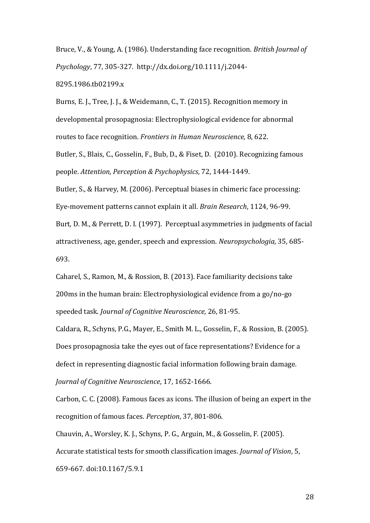Bruce, V., & Young, A. (1986). Understanding face recognition. *British Journal of Psychology*, 77, 305-327. [http://dx.doi.org/10.1111/j.2044-](http://dx.doi.org/10.1111/j.2044-8295.1986.tb02199.x) [8295.1986.tb02199.x](http://dx.doi.org/10.1111/j.2044-8295.1986.tb02199.x)

Burns, E. J., Tree, J. J., & Weidemann, C., T. (2015). Recognition memory in developmental prosopagnosia: Electrophysiological evidence for abnormal routes to face recognition. *Frontiers in Human Neuroscience,* 8, 622.

Butler, S., Blais, C., Gosselin, F., Bub, D., & Fiset, D. (2010). Recognizing famous people. *Attention, Perception & Psychophysics*, 72, 1444-1449.

Butler, S., & [Harvey, M.](http://eprints.gla.ac.uk/view/author/9277.html) (2006). [Perceptual biases in chimeric face processing:](http://eprints.gla.ac.uk/25140/)  [Eye-movement patterns cannot explain it all.](http://eprints.gla.ac.uk/25140/) *[Brain Research](http://eprints.gla.ac.uk/view/journal_volume/Brain_Research.html)*, 1124, 96-99. Burt, D. M., & Perrett, D. I. (1997). Perceptual asymmetries in judgments of facial attractiveness, age, gender, speech and expression. *Neuropsychologia,* 35, 685- 693.

Caharel, S., Ramon, M., & Rossion, B. (2013). Face familiarity decisions take 200ms in the human brain: Electrophysiological evidence from a go/no-go speeded task. *Journal of Cognitive Neuroscience,* 26, 81-95.

Caldara, R., Schyns, P.G., Mayer, E., Smith M. L., Gosselin, F., & Rossion, B. (2005). Does prosopagnosia take the eyes out of face representations? Evidence for a defect in representing diagnostic facial information following brain damage. *Journal of Cognitive Neuroscience*, 17, 1652-1666.

Carbon, C. C. (2008). Famous faces as icons. The illusion of being an expert in the recognition of famous faces. *Perception*, 37, 801-806.

Chauvin, A., Worsley, K. J., Schyns, P. G., Arguin, M., & Gosselin, F. (2005). Accurate statistical tests for smooth classification images. *Journal of Vision*, 5, 659-667. doi:10.1167/5.9.1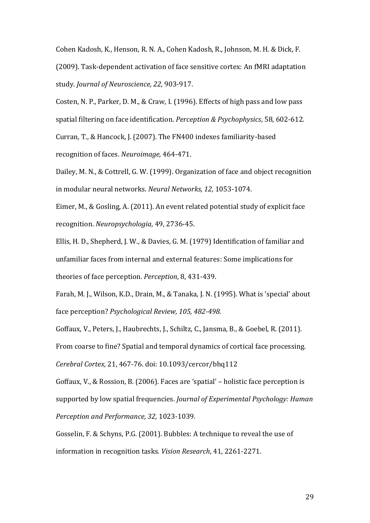Cohen Kadosh, K., Henson, R. N. A., Cohen Kadosh, R., Johnson, M. H. & Dick, F. (2009). Task-dependent activation of face sensitive cortex: An fMRI adaptation study. *Journal of Neuroscience, 22,* 903-917.

Costen, N. P., Parker, D. M., & Craw, I. (1996). Effects of high pass and low pass spatial filtering on face identification. *Perception & Psychophysics*, 58, 602-612. Curran, T., & Hancock, J. (2007). The FN400 indexes familiarity-based recognition of faces. *Neuroimage,* 464-471.

Dailey, M. N., & Cottrell, G. W. (1999). Organization of face and object recognition in modular neural networks. *Neural Networks, 12,* 1053-1074.

Eimer, M., & Gosling, A. (2011). An event related potential study of explicit face recognition. *Neuropsychologia*, 49, 2736-45.

Ellis, H. D., Shepherd, J. W., & Davies, G. M. (1979) Identification of familiar and unfamiliar faces from internal and external features: Some implications for theories of face perception. *Perception*, 8, 431-439.

Farah, M. J., Wilson, K.D., Drain, M., & Tanaka, J. N. (1995). What is 'special' about face perception? *Psychological Review, 105, 482-498.* 

Goffaux, V., Peters, J., Haubrechts, J., Schiltz, C., Jansma, B., & Goebel, R. (2011). From coarse to fine? Spatial and temporal dynamics of cortical face processing. *Cerebral Cortex,* 21, 467-76. doi: 10.1093/cercor/bhq112

Goffaux, V., & Rossion, B. (2006). Faces are 'spatial' – holistic face perception is supported by low spatial frequencies. *Journal of Experimental Psychology: Human* 

*Perception and Performance, 32,* 1023-1039*.*

Gosselin, F. & Schyns, P.G. (2001). Bubbles: A technique to reveal the use of information in recognition tasks*. Vision Research*, 41, 2261-2271.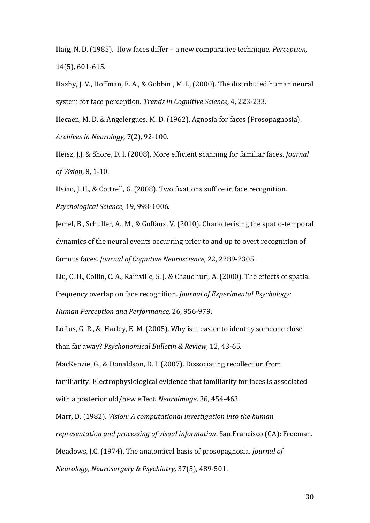Haig, N. D. (1985). How faces differ – a new comparative technique. *Perception,*  14(5), 601-615.

Haxby, J. V., Hoffman, E. A., & Gobbini, M. I., (2000). The distributed human neural system for face perception. *Trends in Cognitive Science,* 4, 223-233.

Hecaen, M. D. & Angelergues, M. D. (1962). Agnosia for faces (Prosopagnosia). *Archives in Neurology,* 7(2), 92-100.

Heisz, J.J. & Shore, D. I. (2008). More efficient scanning for familiar faces. *Journal of Vision*, 8, 1-10.

Hsiao, J. H., & Cottrell, G. (2008). Two fixations suffice in face recognition. *Psychological Science,* 19, 998-1006.

Jemel, B., Schuller, A., M., & Goffaux, V. (2010). Characterising the spatio-temporal dynamics of the neural events occurring prior to and up to overt recognition of famous faces. *Journal of Cognitive Neuroscience,* 22, 2289-2305.

Liu, C. H., Collin, C. A., Rainville, S. J. & Chaudhuri, A. (2000). The effects of spatial frequency overlap on face recognition. *Journal of Experimental Psychology: Human Perception and Performance,* 26, 956-979.

Loftus, G. R., & Harley, E. M. (2005). Why is it easier to identity someone close than far away? *Psychonomical Bulletin & Review,* 12, 43-65.

MacKenzie, G., & Donaldson, D. I. (2007). Dissociating recollection from familiarity: Electrophysiological evidence that familiarity for faces is associated with a posterior old/new effect. *Neuroimage*. 36, 454-463.

Marr, D. (1982). *Vision: A computational investigation into the human representation and processing of visual information*. San Francisco (CA): Freeman. Meadows, J.C. (1974). The anatomical basis of prosopagnosia. *Journal of Neurology, Neurosurgery & Psychiatry,* 37(5), 489-501.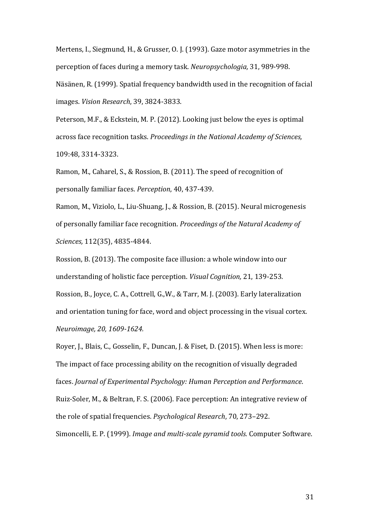Mertens, I., Siegmund, H., & Grusser, O. J. (1993). Gaze motor asymmetries in the perception of faces during a memory task. *Neuropsychologia,* 31, 989-998. Näsänen, R. (1999). [Spatial frequency bandwidth used in the recognition of facial](https://scholar.google.co.uk/citations?view_op=view_citation&hl=en&user=r9b17XkAAAAJ&cstart=40&sortby=pubdate&citation_for_view=r9b17XkAAAAJ:u-x6o8ySG0sC)  [images.](https://scholar.google.co.uk/citations?view_op=view_citation&hl=en&user=r9b17XkAAAAJ&cstart=40&sortby=pubdate&citation_for_view=r9b17XkAAAAJ:u-x6o8ySG0sC) *Vision Research*, 39, 3824-3833.

Peterson, M.F., & Eckstein, M. P. (2012). Looking just below the eyes is optimal across face recognition tasks. *Proceedings in the National Academy of Sciences,*  109:48, 3314-3323.

Ramon, M., Caharel, S., & Rossion, B. (2011). The speed of recognition of personally familiar faces. *Perception*, 40, 437-439.

Ramon, M., Viziolo, L., Liu-Shuang, J., & Rossion, B. (2015). Neural microgenesis of personally familiar face recognition. *Proceedings of the Natural Academy of Sciences,* 112(35), 4835-4844.

Rossion, B. (2013). The composite face illusion: a whole window into our understanding of holistic face perception. *Visual Cognition,* 21, 139-253. Rossion, B., Joyce, C. A., Cottrell, G.,W., & Tarr, M. J. (2003). Early lateralization and orientation tuning for face, word and object processing in the visual cortex. *Neuroimage, 20, 1609-1624.* 

Royer, J., Blais, C., Gosselin, F., Duncan, J. & Fiset, D. (2015). When less is more: The impact of face processing ability on the recognition of visually degraded faces. *Journal of Experimental Psychology: Human Perception and Performance*. Ruiz-Soler, M., & Beltran, F. S. (2006). Face perception: An integrative review of the role of spatial frequencies. *Psychological Research*, 70, 273–292. Simoncelli, E. P. (1999). *Image and multi-scale pyramid tools.* Computer Software.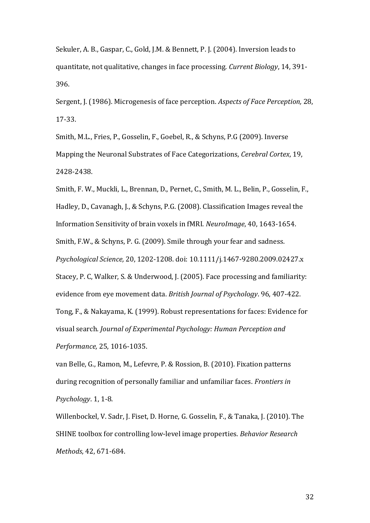Sekuler, A. B., Gaspar, C., Gold, J.M. & Bennett, P. J. (2004). Inversion leads to quantitate, not qualitative, changes in face processing. *Current Biology*, 14, 391- 396.

Sergent, J. (1986). Microgenesis of face perception. *Aspects of Face Perception,* 28, 17-33.

Smith, M.L., Fries, P., Gosselin, F., Goebel, R., & Schyns, P.G (2009). Inverse Mapping the Neuronal Substrates of Face Categorizations, *Cerebral Cortex*, 19, 2428-2438.

Smith, F. W., Muckli, L., Brennan, D., Pernet, C., Smith, M. L., Belin, P., Gosselin, F., Hadley, D., Cavanagh, J., & Schyns, P.G. (2008). Classification Images reveal the Information Sensitivity of brain voxels in fMRI. *NeuroImage*, 40, 1643-1654. Smith, F.W., & Schyns, P. G. (2009). Smile through your fear and sadness. *Psychological Science,* 20, 1202-1208. doi: 10.1111/j.1467-9280.2009.02427.x Stacey, P. C, Walker, S. & Underwood, J. (2005). Face processing and familiarity: evidence from eye movement data. *British Journal of Psychology*. 96, 407-422. Tong, F., & Nakayama, K. (1999). Robust representations for faces: Evidence for visual search. *Journal of Experimental Psychology: Human Perception and Performance,* 25, 1016-1035.

van Belle, G., Ramon, M., Lefevre, P. & Rossion, B. (2010). Fixation patterns during recognition of personally familiar and unfamiliar faces. *Frontiers in Psychology*. 1, 1-8.

Willenbockel, V. Sadr, J. Fiset, D. Horne, G. Gosselin, F., & Tanaka, J. (2010). The SHINE toolbox for controlling low-level image properties. *Behavior Research Methods*, 42, 671-684.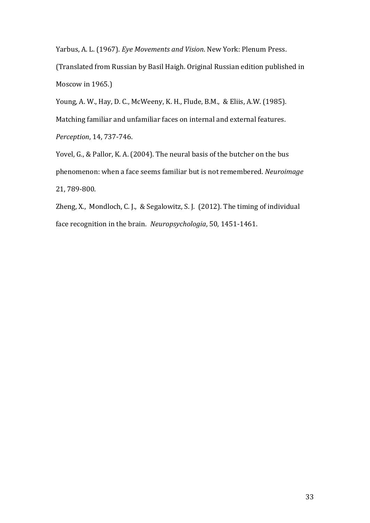Yarbus, A. L. (1967). *Eye Movements and Vision*. New York: Plenum Press.

(Translated from Russian by Basil Haigh. Original Russian edition published in Moscow in 1965.)

Young, A. W., Hay, D. C., McWeeny, K. H., Flude, B.M., & Eliis, A.W. (1985). Matching familiar and unfamiliar faces on internal and external features. *Perception*, 14, 737-746.

Yovel, G., & Pallor, K. A. (2004). The neural basis of the butcher on the bus phenomenon: when a face seems familiar but is not remembered. *Neuroimage* 21, 789-800.

Zheng, X., Mondloch, C. J., & Segalowitz, S. J. (2012). The timing of individual face recognition in the brain. *Neuropsychologia*, 50, 1451-1461.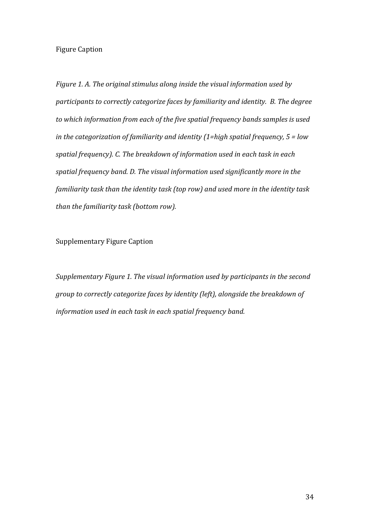## Figure Caption

*Figure 1. A. The original stimulus along inside the visual information used by participants to correctly categorize faces by familiarity and identity. B. The degree to which information from each of the five spatial frequency bands samples is used in the categorization of familiarity and identity (1=high spatial frequency, 5 = low spatial frequency). C. The breakdown of information used in each task in each spatial frequency band. D. The visual information used significantly more in the familiarity task than the identity task (top row) and used more in the identity task than the familiarity task (bottom row).* 

Supplementary Figure Caption

*Supplementary Figure 1. The visual information used by participants in the second group to correctly categorize faces by identity (left), alongside the breakdown of information used in each task in each spatial frequency band.*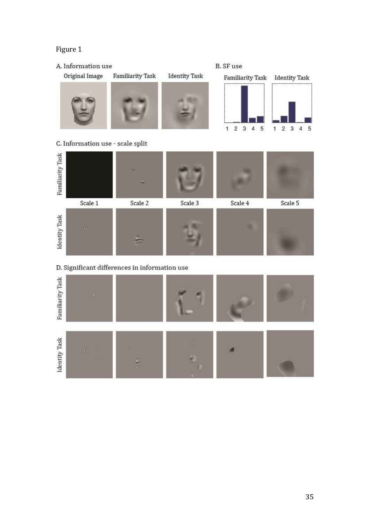## Figure 1

## A. Information use

Original Image











## C. Information use - scale split



D. Significant differences in information use

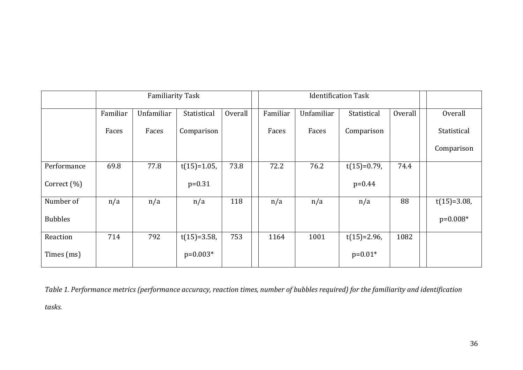|                 | <b>Familiarity Task</b> |            |                |                | <b>Identification Task</b> |            |                |         |                |
|-----------------|-------------------------|------------|----------------|----------------|----------------------------|------------|----------------|---------|----------------|
|                 | Familiar                | Unfamiliar | Statistical    | <b>Overall</b> | Familiar                   | Unfamiliar | Statistical    | Overall | <b>Overall</b> |
|                 | Faces                   | Faces      | Comparison     |                | Faces                      | Faces      | Comparison     |         | Statistical    |
|                 |                         |            |                |                |                            |            |                |         | Comparison     |
| Performance     | 69.8                    | 77.8       | $t(15)=1.05$ , | 73.8           | 72.2                       | 76.2       | $t(15)=0.79$ , | 74.4    |                |
| Correct $(\% )$ |                         |            | $p=0.31$       |                |                            |            | $p=0.44$       |         |                |
| Number of       | n/a                     | n/a        | n/a            | 118            | n/a                        | n/a        | n/a            | 88      | $t(15)=3.08$ , |
| <b>Bubbles</b>  |                         |            |                |                |                            |            |                |         | $p=0.008*$     |
| Reaction        | 714                     | 792        | $t(15)=3.58$ , | 753            | 1164                       | 1001       | $t(15)=2.96$ , | 1082    |                |
| Times (ms)      |                         |            | $p=0.003*$     |                |                            |            | $p=0.01*$      |         |                |

*Table 1. Performance metrics (performance accuracy, reaction times, number of bubbles required) for the familiarity and identification* 

*tasks.*